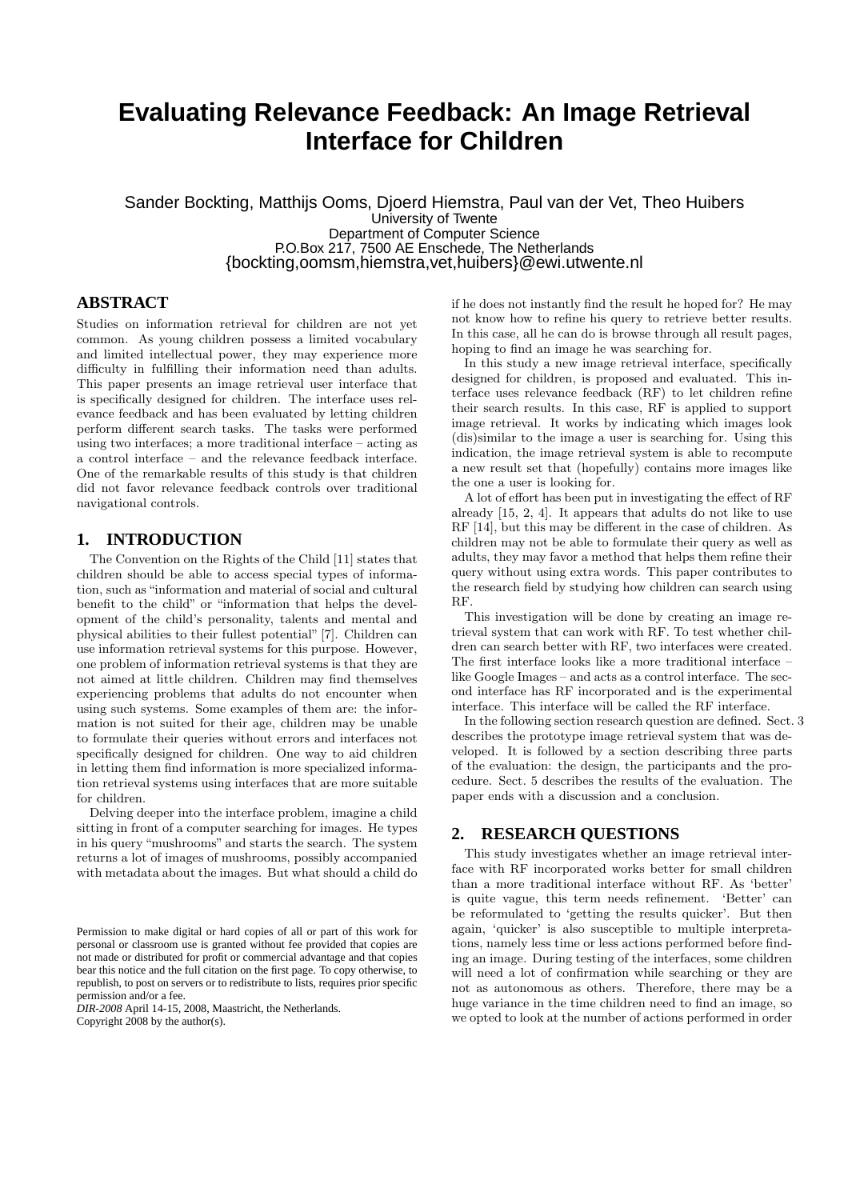# **Evaluating Relevance Feedback: An Image Retrieval Interface for Children**

Sander Bockting, Matthijs Ooms, Djoerd Hiemstra, Paul van der Vet, Theo Huibers University of Twente Department of Computer Science P.O.Box 217, 7500 AE Enschede, The Netherlands {bockting,oomsm,hiemstra,vet,huibers}@ewi.utwente.nl

# **ABSTRACT**

Studies on information retrieval for children are not yet common. As young children possess a limited vocabulary and limited intellectual power, they may experience more difficulty in fulfilling their information need than adults. This paper presents an image retrieval user interface that is specifically designed for children. The interface uses relevance feedback and has been evaluated by letting children perform different search tasks. The tasks were performed using two interfaces; a more traditional interface – acting as a control interface – and the relevance feedback interface. One of the remarkable results of this study is that children did not favor relevance feedback controls over traditional navigational controls.

# **1. INTRODUCTION**

The Convention on the Rights of the Child [11] states that children should be able to access special types of information, such as "information and material of social and cultural benefit to the child" or "information that helps the development of the child's personality, talents and mental and physical abilities to their fullest potential" [7]. Children can use information retrieval systems for this purpose. However, one problem of information retrieval systems is that they are not aimed at little children. Children may find themselves experiencing problems that adults do not encounter when using such systems. Some examples of them are: the information is not suited for their age, children may be unable to formulate their queries without errors and interfaces not specifically designed for children. One way to aid children in letting them find information is more specialized information retrieval systems using interfaces that are more suitable for children.

Delving deeper into the interface problem, imagine a child sitting in front of a computer searching for images. He types in his query "mushrooms" and starts the search. The system returns a lot of images of mushrooms, possibly accompanied with metadata about the images. But what should a child do

*DIR-2008* April 14-15, 2008, Maastricht, the Netherlands. Copyright 2008 by the author(s).

if he does not instantly find the result he hoped for? He may not know how to refine his query to retrieve better results. In this case, all he can do is browse through all result pages, hoping to find an image he was searching for.

In this study a new image retrieval interface, specifically designed for children, is proposed and evaluated. This interface uses relevance feedback (RF) to let children refine their search results. In this case, RF is applied to support image retrieval. It works by indicating which images look (dis)similar to the image a user is searching for. Using this indication, the image retrieval system is able to recompute a new result set that (hopefully) contains more images like the one a user is looking for.

A lot of effort has been put in investigating the effect of RF already [15, 2, 4]. It appears that adults do not like to use RF [14], but this may be different in the case of children. As children may not be able to formulate their query as well as adults, they may favor a method that helps them refine their query without using extra words. This paper contributes to the research field by studying how children can search using RF.

This investigation will be done by creating an image retrieval system that can work with RF. To test whether children can search better with RF, two interfaces were created. The first interface looks like a more traditional interface – like Google Images – and acts as a control interface. The second interface has RF incorporated and is the experimental interface. This interface will be called the RF interface.

In the following section research question are defined. Sect. 3 describes the prototype image retrieval system that was developed. It is followed by a section describing three parts of the evaluation: the design, the participants and the procedure. Sect. 5 describes the results of the evaluation. The paper ends with a discussion and a conclusion.

# **2. RESEARCH QUESTIONS**

This study investigates whether an image retrieval interface with RF incorporated works better for small children than a more traditional interface without RF. As 'better' is quite vague, this term needs refinement. 'Better' can be reformulated to 'getting the results quicker'. But then again, 'quicker' is also susceptible to multiple interpretations, namely less time or less actions performed before finding an image. During testing of the interfaces, some children will need a lot of confirmation while searching or they are not as autonomous as others. Therefore, there may be a huge variance in the time children need to find an image, so we opted to look at the number of actions performed in order

Permission to make digital or hard copies of all or part of this work for personal or classroom use is granted without fee provided that copies are not made or distributed for profit or commercial advantage and that copies bear this notice and the full citation on the first page. To copy otherwise, to republish, to post on servers or to redistribute to lists, requires prior specific permission and/or a fee.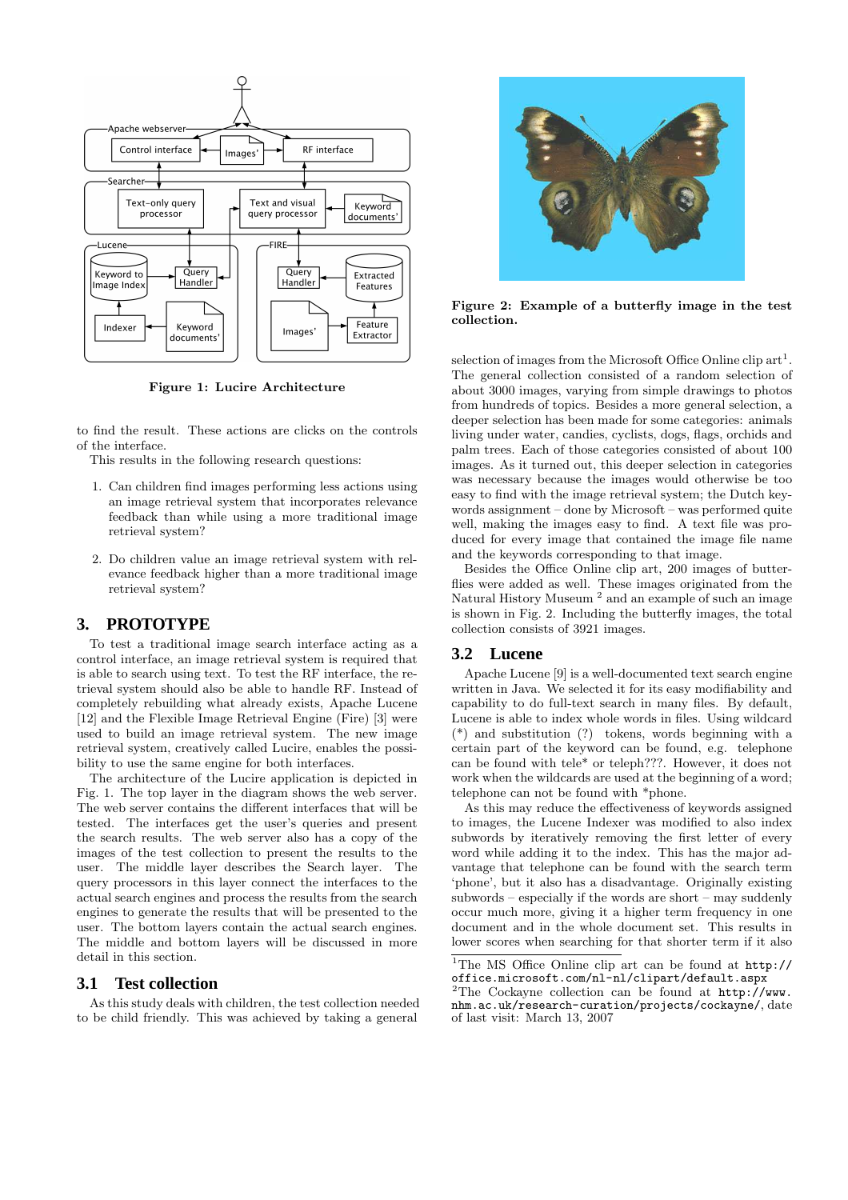

Figure 1: Lucire Architecture

to find the result. These actions are clicks on the controls of the interface.

This results in the following research questions:

- 1. Can children find images performing less actions using an image retrieval system that incorporates relevance feedback than while using a more traditional image retrieval system?
- 2. Do children value an image retrieval system with relevance feedback higher than a more traditional image retrieval system?

## **3. PROTOTYPE**

To test a traditional image search interface acting as a control interface, an image retrieval system is required that is able to search using text. To test the RF interface, the retrieval system should also be able to handle RF. Instead of completely rebuilding what already exists, Apache Lucene [12] and the Flexible Image Retrieval Engine (Fire) [3] were used to build an image retrieval system. The new image retrieval system, creatively called Lucire, enables the possibility to use the same engine for both interfaces.

The architecture of the Lucire application is depicted in Fig. 1. The top layer in the diagram shows the web server. The web server contains the different interfaces that will be tested. The interfaces get the user's queries and present the search results. The web server also has a copy of the images of the test collection to present the results to the user. The middle layer describes the Search layer. The query processors in this layer connect the interfaces to the actual search engines and process the results from the search engines to generate the results that will be presented to the user. The bottom layers contain the actual search engines. The middle and bottom layers will be discussed in more detail in this section.

#### **3.1 Test collection**

As this study deals with children, the test collection needed to be child friendly. This was achieved by taking a general



Figure 2: Example of a butterfly image in the test collection.

selection of images from the Microsoft Office Online clip  $art^1$ . The general collection consisted of a random selection of about 3000 images, varying from simple drawings to photos from hundreds of topics. Besides a more general selection, a deeper selection has been made for some categories: animals living under water, candies, cyclists, dogs, flags, orchids and palm trees. Each of those categories consisted of about 100 images. As it turned out, this deeper selection in categories was necessary because the images would otherwise be too easy to find with the image retrieval system; the Dutch keywords assignment – done by Microsoft – was performed quite well, making the images easy to find. A text file was produced for every image that contained the image file name and the keywords corresponding to that image.

Besides the Office Online clip art, 200 images of butterflies were added as well. These images originated from the<br>Natural History Museum <sup>2</sup> and an example of such an image is shown in Fig. 2. Including the butterfly images, the total collection consists of 3921 images.

#### **3.2 Lucene**

Apache Lucene [9] is a well-documented text search engine written in Java. We selected it for its easy modifiability and capability to do full-text search in many files. By default, Lucene is able to index whole words in files. Using wildcard (\*) and substitution (?) tokens, words beginning with a certain part of the keyword can be found, e.g. telephone can be found with tele\* or teleph???. However, it does not work when the wildcards are used at the beginning of a word; telephone can not be found with \*phone.

As this may reduce the effectiveness of keywords assigned to images, the Lucene Indexer was modified to also index subwords by iteratively removing the first letter of every word while adding it to the index. This has the major advantage that telephone can be found with the search term 'phone', but it also has a disadvantage. Originally existing subwords – especially if the words are short – may suddenly occur much more, giving it a higher term frequency in one document and in the whole document set. This results in lower scores when searching for that shorter term if it also

<sup>&</sup>lt;sup>1</sup>The MS Office Online clip art can be found at  $http://$ office.microsoft.com/nl-nl/clipart/default.aspx

<sup>&</sup>lt;sup>2</sup>The Cockayne collection can be found at  $http://www.$ nhm.ac.uk/research-curation/projects/cockayne/, date of last visit: March 13, 2007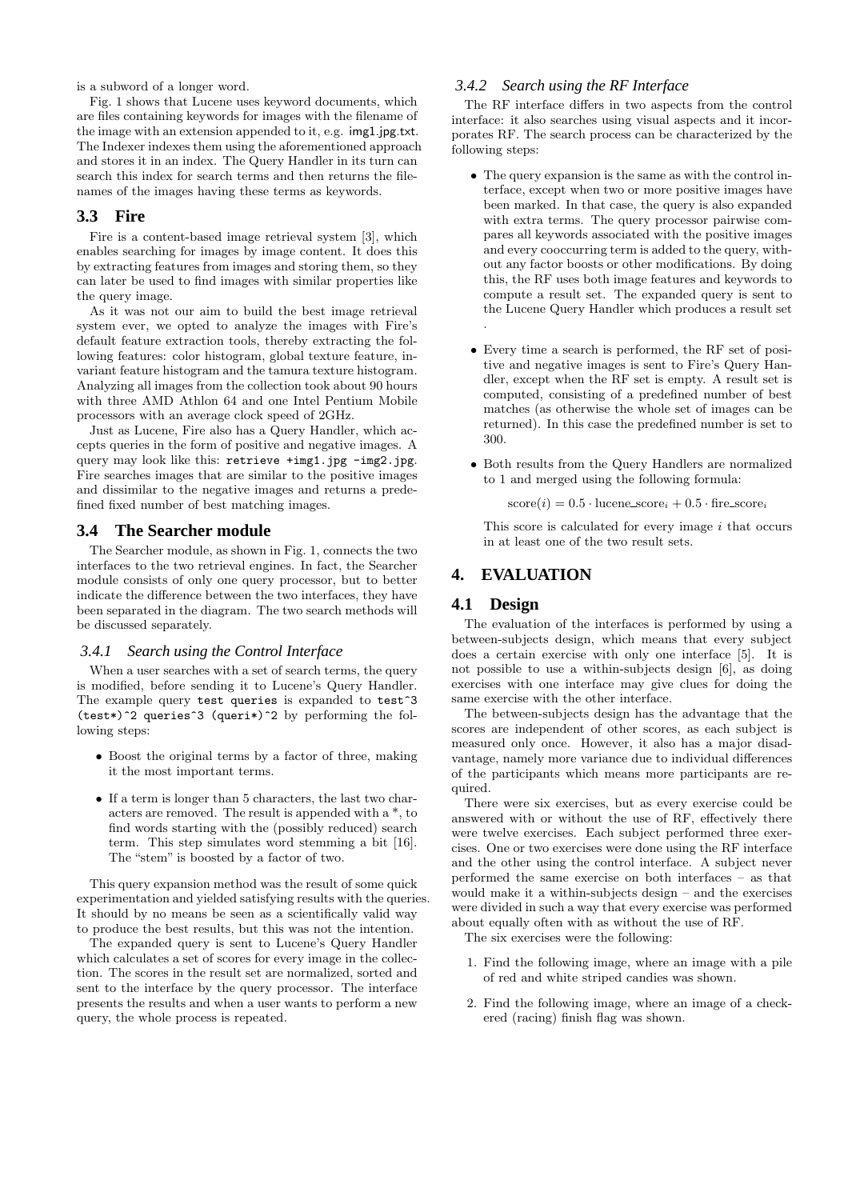is a subword of a longer word.

Fig. 1 shows that Lucene uses keyword documents, which are files containing keywords for images with the filename of the image with an extension appended to it, e.g. img1.jpg.txt. The Indexer indexes them using the aforementioned approach and stores it in an index. The Query Handler in its turn can search this index for search terms and then returns the filenames of the images having these terms as keywords.

#### **3.3 Fire**

Fire is a content-based image retrieval system [3], which enables searching for images by image content. It does this by extracting features from images and storing them, so they can later be used to find images with similar properties like the query image.

As it was not our aim to build the best image retrieval system ever, we opted to analyze the images with Fire's default feature extraction tools, thereby extracting the following features: color histogram, global texture feature, invariant feature histogram and the tamura texture histogram. Analyzing all images from the collection took about 90 hours with three AMD Athlon 64 and one Intel Pentium Mobile processors with an average clock speed of 2GHz.

Just as Lucene, Fire also has a Query Handler, which accepts queries in the form of positive and negative images. A query may look like this: retrieve +img1.jpg -img2.jpg. Fire searches images that are similar to the positive images and dissimilar to the negative images and returns a predefined fixed number of best matching images.

#### **3.4 The Searcher module**

The Searcher module, as shown in Fig. 1, connects the two interfaces to the two retrieval engines. In fact, the Searcher module consists of only one query processor, but to better indicate the difference between the two interfaces, they have been separated in the diagram. The two search methods will be discussed separately.

#### *3.4.1 Search using the Control Interface*

When a user searches with a set of search terms, the query is modified, before sending it to Lucene's Query Handler. The example query test queries is expanded to test<sup>3</sup> (test\*)^2 queries^3 (queri\*)^2 by performing the following steps:

- Boost the original terms by a factor of three, making it the most important terms.
- If a term is longer than 5 characters, the last two characters are removed. The result is appended with a \*, to find words starting with the (possibly reduced) search term. This step simulates word stemming a bit [16]. The "stem" is boosted by a factor of two.

This query expansion method was the result of some quick experimentation and yielded satisfying results with the queries. It should by no means be seen as a scientifically valid way to produce the best results, but this was not the intention.

The expanded query is sent to Lucene's Query Handler which calculates a set of scores for every image in the collection. The scores in the result set are normalized, sorted and sent to the interface by the query processor. The interface presents the results and when a user wants to perform a new query, the whole process is repeated.

#### *3.4.2 Search using the RF Interface*

The RF interface differs in two aspects from the control interface: it also searches using visual aspects and it incorporates RF. The search process can be characterized by the following steps:

- The query expansion is the same as with the control interface, except when two or more positive images have been marked. In that case, the query is also expanded with extra terms. The query processor pairwise compares all keywords associated with the positive images and every cooccurring term is added to the query, without any factor boosts or other modifications. By doing this, the RF uses both image features and keywords to compute a result set. The expanded query is sent to the Lucene Query Handler which produces a result set .
- Every time a search is performed, the RF set of positive and negative images is sent to Fire's Query Handler, except when the RF set is empty. A result set is computed, consisting of a predefined number of best matches (as otherwise the whole set of images can be returned). In this case the predefined number is set to 300.
- Both results from the Query Handlers are normalized to 1 and merged using the following formula:

 $score(i) = 0.5 \cdot \text{lucene\_score}_i + 0.5 \cdot \text{fire\_score}_i$ 

This score is calculated for every image  $i$  that occurs in at least one of the two result sets.

# **4. EVALUATION**

#### **4.1 Design**

The evaluation of the interfaces is performed by using a between-subjects design, which means that every subject does a certain exercise with only one interface [5]. It is not possible to use a within-subjects design [6], as doing exercises with one interface may give clues for doing the same exercise with the other interface.

The between-subjects design has the advantage that the scores are independent of other scores, as each subject is measured only once. However, it also has a major disadvantage, namely more variance due to individual differences of the participants which means more participants are required.

There were six exercises, but as every exercise could be answered with or without the use of RF, effectively there were twelve exercises. Each subject performed three exercises. One or two exercises were done using the RF interface and the other using the control interface. A subject never performed the same exercise on both interfaces – as that would make it a within-subjects design – and the exercises were divided in such a way that every exercise was performed about equally often with as without the use of RF.

The six exercises were the following:

- 1. Find the following image, where an image with a pile of red and white striped candies was shown.
- 2. Find the following image, where an image of a checkered (racing) finish flag was shown.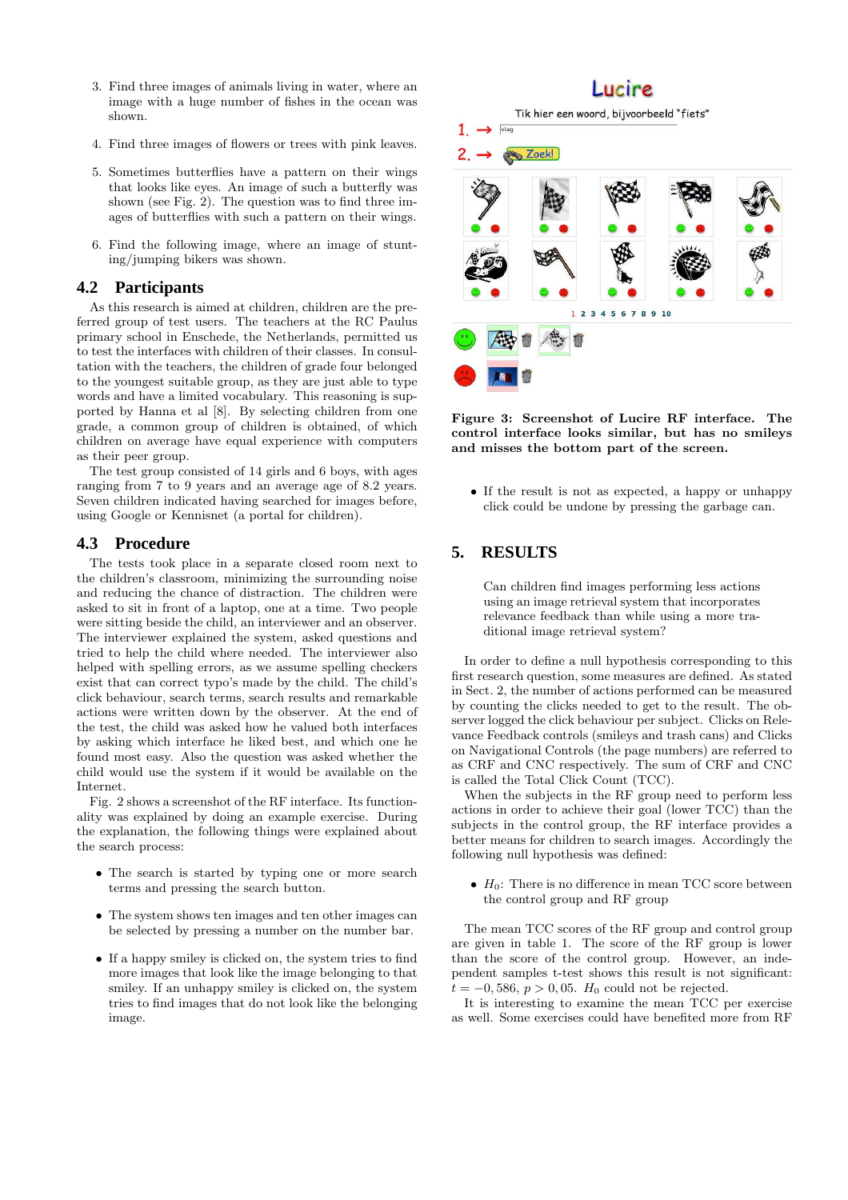- 3. Find three images of animals living in water, where an image with a huge number of fishes in the ocean was shown.
- 4. Find three images of flowers or trees with pink leaves.
- 5. Sometimes butterflies have a pattern on their wings that looks like eyes. An image of such a butterfly was shown (see Fig. 2). The question was to find three images of butterflies with such a pattern on their wings.
- 6. Find the following image, where an image of stunting/jumping bikers was shown.

#### **4.2 Participants**

As this research is aimed at children, children are the preferred group of test users. The teachers at the RC Paulus primary school in Enschede, the Netherlands, permitted us to test the interfaces with children of their classes. In consultation with the teachers, the children of grade four belonged to the youngest suitable group, as they are just able to type words and have a limited vocabulary. This reasoning is supported by Hanna et al [8]. By selecting children from one grade, a common group of children is obtained, of which children on average have equal experience with computers as their peer group.

The test group consisted of 14 girls and 6 boys, with ages ranging from 7 to 9 years and an average age of 8.2 years. Seven children indicated having searched for images before, using Google or Kennisnet (a portal for children).

#### **4.3 Procedure**

The tests took place in a separate closed room next to the children's classroom, minimizing the surrounding noise and reducing the chance of distraction. The children were asked to sit in front of a laptop, one at a time. Two people were sitting beside the child, an interviewer and an observer. The interviewer explained the system, asked questions and tried to help the child where needed. The interviewer also helped with spelling errors, as we assume spelling checkers exist that can correct typo's made by the child. The child's click behaviour, search terms, search results and remarkable actions were written down by the observer. At the end of the test, the child was asked how he valued both interfaces by asking which interface he liked best, and which one he found most easy. Also the question was asked whether the child would use the system if it would be available on the Internet.

Fig. 2 shows a screenshot of the RF interface. Its functionality was explained by doing an example exercise. During the explanation, the following things were explained about the search process:

- The search is started by typing one or more search terms and pressing the search button.
- The system shows ten images and ten other images can be selected by pressing a number on the number bar.
- If a happy smiley is clicked on, the system tries to find more images that look like the image belonging to that smiley. If an unhappy smiley is clicked on, the system tries to find images that do not look like the belonging image.

# **Lucire**

Tik hier een woord, bijvoorbeeld "fiets"



Figure 3: Screenshot of Lucire RF interface. The control interface looks similar, but has no smileys and misses the bottom part of the screen.

• If the result is not as expected, a happy or unhappy click could be undone by pressing the garbage can.

# **5. RESULTS**

Can children find images performing less actions using an image retrieval system that incorporates relevance feedback than while using a more traditional image retrieval system?

In order to define a null hypothesis corresponding to this first research question, some measures are defined. As stated in Sect. 2, the number of actions performed can be measured by counting the clicks needed to get to the result. The observer logged the click behaviour per subject. Clicks on Relevance Feedback controls (smileys and trash cans) and Clicks on Navigational Controls (the page numbers) are referred to as CRF and CNC respectively. The sum of CRF and CNC is called the Total Click Count (TCC).

When the subjects in the RF group need to perform less actions in order to achieve their goal (lower TCC) than the subjects in the control group, the RF interface provides a better means for children to search images. Accordingly the following null hypothesis was defined:

•  $H_0$ : There is no difference in mean TCC score between the control group and RF group

The mean TCC scores of the RF group and control group are given in table 1. The score of the RF group is lower than the score of the control group. However, an independent samples t-test shows this result is not significant:  $t = -0,586, p > 0,05. H_0$  could not be rejected.

It is interesting to examine the mean TCC per exercise as well. Some exercises could have benefited more from RF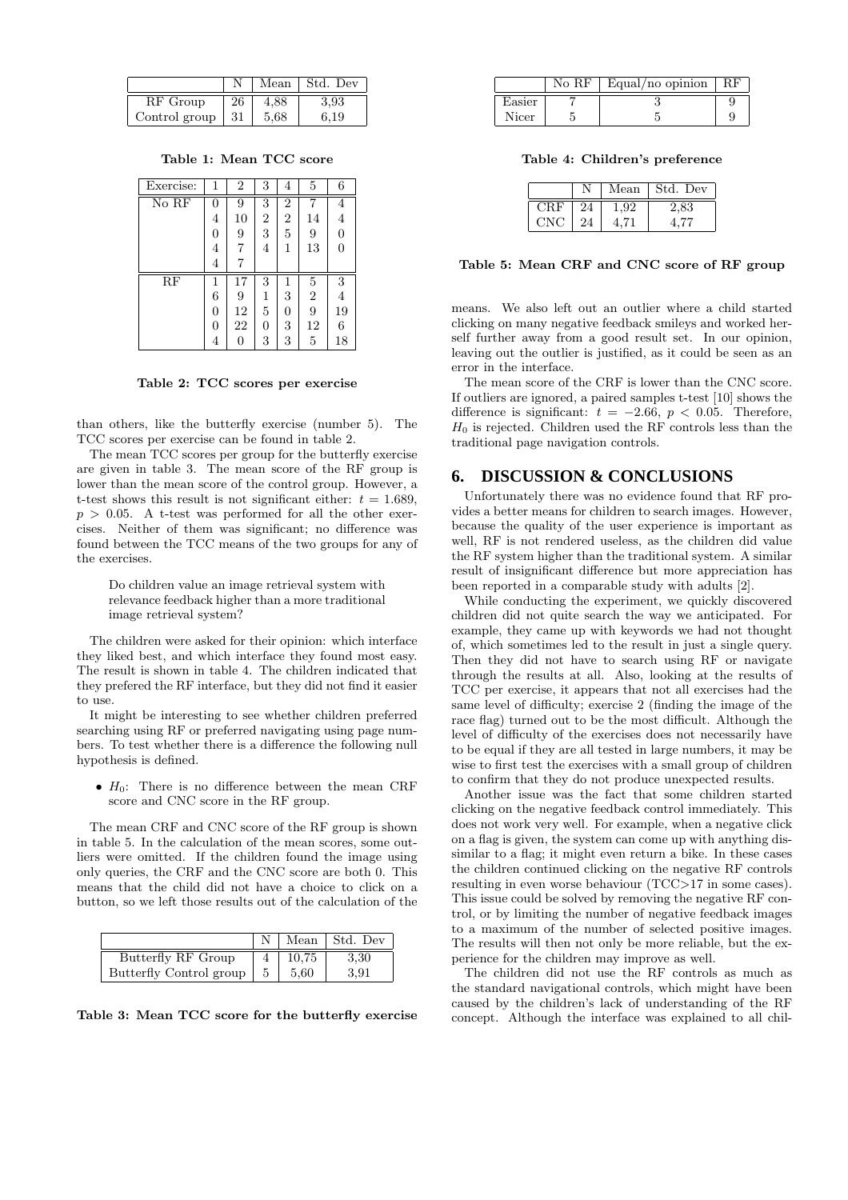|               |    | Mean | Std. Dev |
|---------------|----|------|----------|
| RF Group      | 26 | 4.88 | 3.93     |
| Control group | 31 | 5.68 | $6.19\,$ |

Table 1: Mean TCC score

| Exercise: | 1 | $\overline{2}$ | 3              | 4              | 5              | 6  |
|-----------|---|----------------|----------------|----------------|----------------|----|
| No RF     | 0 | 9              | 3              | $\overline{2}$ |                | 4  |
|           | 4 | 10             | $\overline{2}$ | $\overline{2}$ | 14             | 4  |
|           | 0 | 9              | 3              | 5              | 9              | 0  |
|           | 4 | 7              | 4              | 1              | 13             | 0  |
|           | 4 |                |                |                |                |    |
| RF        |   | 17             | 3              | 1              | $\overline{5}$ | 3  |
|           | 6 | 9              | 1              | 3              | $\overline{2}$ | 4  |
|           | 0 | 12             | 5              | 0              | 9              | 19 |
|           | 0 | 22             | 0              | 3              | 12             | 6  |
|           | 4 |                | 3              | 3              | 5              | 18 |

Table 2: TCC scores per exercise

than others, like the butterfly exercise (number 5). The TCC scores per exercise can be found in table 2.

The mean TCC scores per group for the butterfly exercise are given in table 3. The mean score of the RF group is lower than the mean score of the control group. However, a t-test shows this result is not significant either:  $t = 1.689$ ,  $p > 0.05$ . A t-test was performed for all the other exercises. Neither of them was significant; no difference was found between the TCC means of the two groups for any of the exercises.

Do children value an image retrieval system with relevance feedback higher than a more traditional image retrieval system?

The children were asked for their opinion: which interface they liked best, and which interface they found most easy. The result is shown in table 4. The children indicated that they prefered the RF interface, but they did not find it easier to use.

It might be interesting to see whether children preferred searching using RF or preferred navigating using page numbers. To test whether there is a difference the following null hypothesis is defined.

•  $H_0$ : There is no difference between the mean CRF score and CNC score in the RF group.

The mean CRF and CNC score of the RF group is shown in table 5. In the calculation of the mean scores, some outliers were omitted. If the children found the image using only queries, the CRF and the CNC score are both 0. This means that the child did not have a choice to click on a button, so we left those results out of the calculation of the

|                         |       | Mean   Std. Dev |
|-------------------------|-------|-----------------|
| Butterfly RF Group      | 10.75 | 3,30            |
| Butterfly Control group | 5.60  | 3.91            |

Table 3: Mean TCC score for the butterfly exercise

|           | No RF | Equal/no opinion |  |
|-----------|-------|------------------|--|
| $E$ asier |       |                  |  |
| Nicer     |       |                  |  |

Table 4: Children's preference

|     |    | Mean | Std. Dev |
|-----|----|------|----------|
| CRF | 24 | ,92  | 2,83     |
| CNC | 24 |      | 4.77     |

Table 5: Mean CRF and CNC score of RF group

means. We also left out an outlier where a child started clicking on many negative feedback smileys and worked herself further away from a good result set. In our opinion, leaving out the outlier is justified, as it could be seen as an error in the interface.

The mean score of the CRF is lower than the CNC score. If outliers are ignored, a paired samples t-test [10] shows the difference is significant:  $t = -2.66, p < 0.05$ . Therefore,  $H_0$  is rejected. Children used the RF controls less than the traditional page navigation controls.

#### **6. DISCUSSION & CONCLUSIONS**

Unfortunately there was no evidence found that RF provides a better means for children to search images. However, because the quality of the user experience is important as well, RF is not rendered useless, as the children did value the RF system higher than the traditional system. A similar result of insignificant difference but more appreciation has been reported in a comparable study with adults [2].

While conducting the experiment, we quickly discovered children did not quite search the way we anticipated. For example, they came up with keywords we had not thought of, which sometimes led to the result in just a single query. Then they did not have to search using RF or navigate through the results at all. Also, looking at the results of TCC per exercise, it appears that not all exercises had the same level of difficulty; exercise 2 (finding the image of the race flag) turned out to be the most difficult. Although the level of difficulty of the exercises does not necessarily have to be equal if they are all tested in large numbers, it may be wise to first test the exercises with a small group of children to confirm that they do not produce unexpected results.

Another issue was the fact that some children started clicking on the negative feedback control immediately. This does not work very well. For example, when a negative click on a flag is given, the system can come up with anything dissimilar to a flag; it might even return a bike. In these cases the children continued clicking on the negative RF controls resulting in even worse behaviour (TCC>17 in some cases). This issue could be solved by removing the negative RF control, or by limiting the number of negative feedback images to a maximum of the number of selected positive images. The results will then not only be more reliable, but the experience for the children may improve as well.

The children did not use the RF controls as much as the standard navigational controls, which might have been caused by the children's lack of understanding of the RF concept. Although the interface was explained to all chil